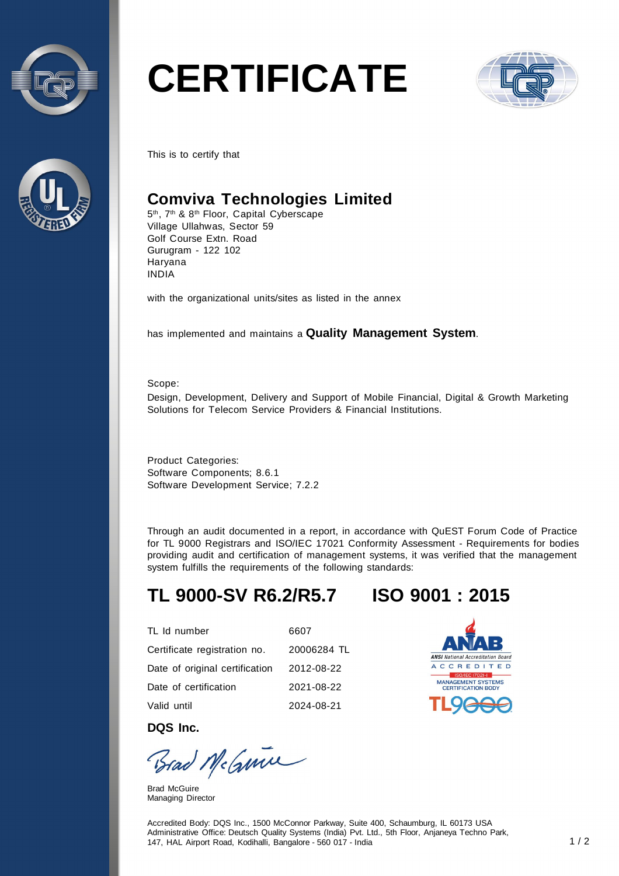



# **CERTIFICATE**



This is to certify that

### **Comviva Technologies Limited**

5<sup>th</sup>, 7<sup>th</sup> & 8<sup>th</sup> Floor, Capital Cyberscape Village Ullahwas, Sector 59 Golf Course Extn. Road Gurugram - 122 102 Haryana INDIA

with the organizational units/sites as listed in the annex

has implemented and maintains a **Quality Management System**.

Scope:

Design, Development, Delivery and Support of Mobile Financial, Digital & Growth Marketing Solutions for Telecom Service Providers & Financial Institutions.

Product Categories: Software Components; 8.6.1 Software Development Service; 7.2.2

Through an audit documented in a report, in accordance with QuEST Forum Code of Practice for TL 9000 Registrars and ISO/IEC 17021 Conformity Assessment - Requirements for bodies providing audit and certification of management systems, it was verified that the management system fulfills the requirements of the following standards:

# **TL 9000-SV R6.2/R5.7 ISO 9001 : 2015**

| TL Id number                   | 6607        |
|--------------------------------|-------------|
| Certificate registration no.   | 20006284 TL |
| Date of original certification | 2012-08-22  |
| Date of certification          | 2021-08-22  |
| Valid until                    | 2024-08-21  |



**DQS Inc.** 

Brad McGuine

Brad McGuire Managing Director

Accredited Body: DQS Inc., 1500 McConnor Parkway, Suite 400, Schaumburg, IL 60173 USA Administrative Office: Deutsch Quality Systems (India) Pvt. Ltd., 5th Floor, Anjaneya Techno Park, 147, HAL Airport Road, Kodihalli, Bangalore - 560 017 - India 1 / 2